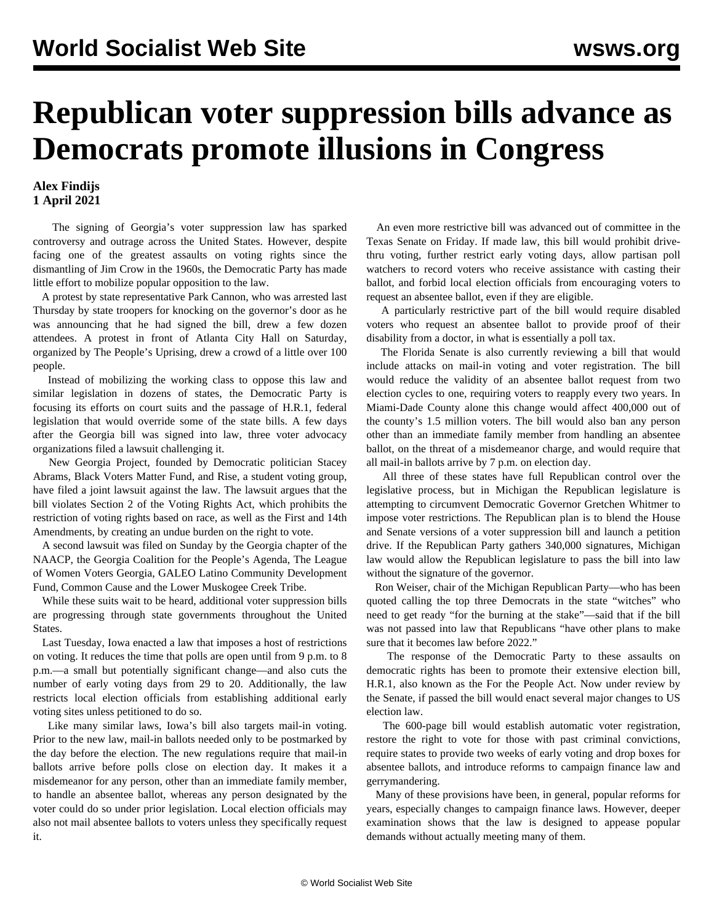## **Republican voter suppression bills advance as Democrats promote illusions in Congress**

## **Alex Findijs 1 April 2021**

 The signing of Georgia's voter suppression law has sparked controversy and outrage across the United States. However, despite facing one of the greatest assaults on voting rights since the dismantling of Jim Crow in the 1960s, the Democratic Party has made little effort to mobilize popular opposition to the law.

 A protest by state representative Park Cannon, who was arrested last Thursday by state troopers for knocking on the governor's door as he was announcing that he had signed the bill, drew a few dozen attendees. A protest in front of Atlanta City Hall on Saturday, organized by The People's Uprising, drew a crowd of a little over 100 people.

 Instead of mobilizing the working class to oppose this law and similar legislation in dozens of states, the Democratic Party is focusing its efforts on court suits and the passage of H.R.1, federal legislation that would override some of the state bills. A few days after the Georgia bill was signed into law, three voter advocacy organizations filed a lawsuit challenging it.

 New Georgia Project, founded by Democratic politician Stacey Abrams, Black Voters Matter Fund, and Rise, a student voting group, have filed a joint lawsuit against the law. The lawsuit argues that the bill violates Section 2 of the Voting Rights Act, which prohibits the restriction of voting rights based on race, as well as the First and 14th Amendments, by creating an undue burden on the right to vote.

 A second lawsuit was filed on Sunday by the Georgia chapter of the NAACP, the Georgia Coalition for the People's Agenda, The League of Women Voters Georgia, GALEO Latino Community Development Fund, Common Cause and the Lower Muskogee Creek Tribe.

 While these suits wait to be heard, additional voter suppression bills are progressing through state governments throughout the United States.

 Last Tuesday, Iowa enacted a law that imposes a host of restrictions on voting. It reduces the time that polls are open until from 9 p.m. to 8 p.m.—a small but potentially significant change—and also cuts the number of early voting days from 29 to 20. Additionally, the law restricts local election officials from establishing additional early voting sites unless petitioned to do so.

 Like many similar laws, Iowa's bill also targets mail-in voting. Prior to the new law, mail-in ballots needed only to be postmarked by the day before the election. The new regulations require that mail-in ballots arrive before polls close on election day. It makes it a misdemeanor for any person, other than an immediate family member, to handle an absentee ballot, whereas any person designated by the voter could do so under prior legislation. Local election officials may also not mail absentee ballots to voters unless they specifically request it.

 An even more restrictive bill was advanced out of committee in the Texas Senate on Friday. If made law, this bill would prohibit drivethru voting, further restrict early voting days, allow partisan poll watchers to record voters who receive assistance with casting their ballot, and forbid local election officials from encouraging voters to request an absentee ballot, even if they are eligible.

 A particularly restrictive part of the bill would require disabled voters who request an absentee ballot to provide proof of their disability from a doctor, in what is essentially a poll tax.

 The Florida Senate is also currently reviewing a bill that would include attacks on mail-in voting and voter registration. The bill would reduce the validity of an absentee ballot request from two election cycles to one, requiring voters to reapply every two years. In Miami-Dade County alone this change would affect 400,000 out of the county's 1.5 million voters. The bill would also ban any person other than an immediate family member from handling an absentee ballot, on the threat of a misdemeanor charge, and would require that all mail-in ballots arrive by 7 p.m. on election day.

 All three of these states have full Republican control over the legislative process, but in Michigan the Republican legislature is attempting to circumvent Democratic Governor Gretchen Whitmer to impose voter restrictions. The Republican plan is to blend the House and Senate versions of a voter suppression bill and launch a petition drive. If the Republican Party gathers 340,000 signatures, Michigan law would allow the Republican legislature to pass the bill into law without the signature of the governor.

 Ron Weiser, chair of the Michigan Republican Party—who has been [quoted](/en/articles/2021/03/29/mich-m29.html) calling the top three Democrats in the state "witches" who need to get ready "for the burning at the stake"—said that if the bill was not passed into law that Republicans "have other plans to make sure that it becomes law before 2022."

 The response of the Democratic Party to these assaults on democratic rights has been to promote their extensive election bill, H.R.1, also known as the For the People Act. Now under review by the Senate, if passed the bill would enact several major changes to US election law.

 The 600-page bill would establish automatic voter registration, restore the right to vote for those with past criminal convictions, require states to provide two weeks of early voting and drop boxes for absentee ballots, and introduce reforms to campaign finance law and gerrymandering.

 Many of these provisions have been, in general, popular reforms for years, especially changes to campaign finance laws. However, deeper examination shows that the law is designed to appease popular demands without actually meeting many of them.